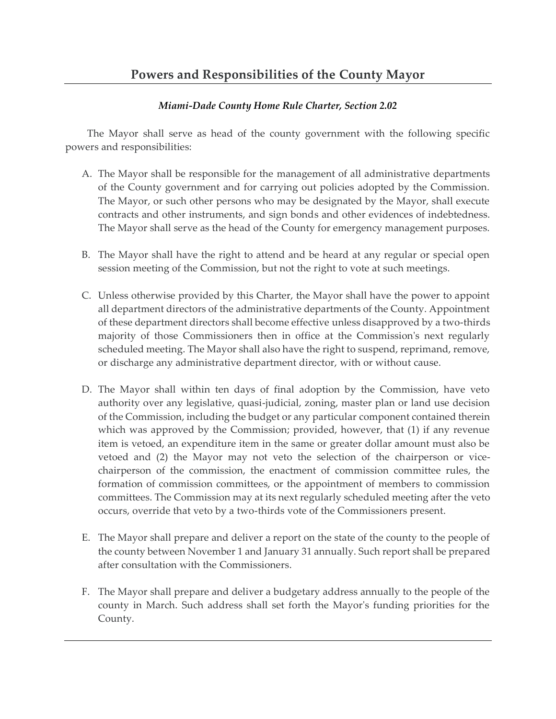## *Miami-Dade County Home Rule Charter, Section 2.02*

The Mayor shall serve as head of the county government with the following specific powers and responsibilities:

- A. The Mayor shall be responsible for the management of all administrative departments of the County government and for carrying out policies adopted by the Commission. The Mayor, or such other persons who may be designated by the Mayor, shall execute contracts and other instruments, and sign bonds and other evidences of indebtedness. The Mayor shall serve as the head of the County for emergency management purposes.
- B. The Mayor shall have the right to attend and be heard at any regular or special open session meeting of the Commission, but not the right to vote at such meetings.
- C. Unless otherwise provided by this Charter, the Mayor shall have the power to appoint all department directors of the administrative departments of the County. Appointment of these department directors shall become effective unless disapproved by a two-thirds majority of those Commissioners then in office at the Commission's next regularly scheduled meeting. The Mayor shall also have the right to suspend, reprimand, remove, or discharge any administrative department director, with or without cause.
- D. The Mayor shall within ten days of final adoption by the Commission, have veto authority over any legislative, quasi-judicial, zoning, master plan or land use decision of the Commission, including the budget or any particular component contained therein which was approved by the Commission; provided, however, that (1) if any revenue item is vetoed, an expenditure item in the same or greater dollar amount must also be vetoed and (2) the Mayor may not veto the selection of the chairperson or vicechairperson of the commission, the enactment of commission committee rules, the formation of commission committees, or the appointment of members to commission committees. The Commission may at its next regularly scheduled meeting after the veto occurs, override that veto by a two-thirds vote of the Commissioners present.
- E. The Mayor shall prepare and deliver a report on the state of the county to the people of the county between November 1 and January 31 annually. Such report shall be prepared after consultation with the Commissioners.
- F. The Mayor shall prepare and deliver a budgetary address annually to the people of the county in March. Such address shall set forth the Mayor's funding priorities for the County.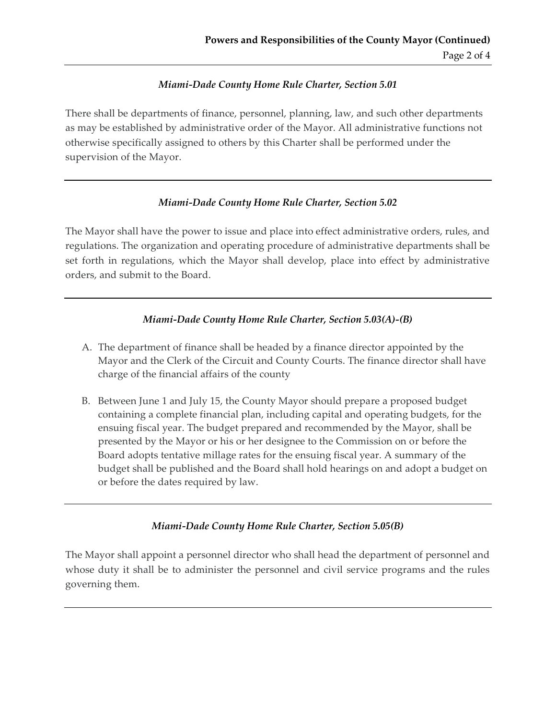## *Miami-Dade County Home Rule Charter, Section 5.01*

There shall be departments of finance, personnel, planning, law, and such other departments as may be established by administrative order of the Mayor. All administrative functions not otherwise specifically assigned to others by this Charter shall be performed under the supervision of the Mayor.

## *Miami-Dade County Home Rule Charter, Section 5.02*

The Mayor shall have the power to issue and place into effect administrative orders, rules, and regulations. The organization and operating procedure of administrative departments shall be set forth in regulations, which the Mayor shall develop, place into effect by administrative orders, and submit to the Board.

# *Miami-Dade County Home Rule Charter, Section 5.03(A)-(B)*

- A. The department of finance shall be headed by a finance director appointed by the Mayor and the Clerk of the Circuit and County Courts. The finance director shall have charge of the financial affairs of the county
- B. Between June 1 and July 15, the County Mayor should prepare a proposed budget containing a complete financial plan, including capital and operating budgets, for the ensuing fiscal year. The budget prepared and recommended by the Mayor, shall be presented by the Mayor or his or her designee to the Commission on or before the Board adopts tentative millage rates for the ensuing fiscal year. A summary of the budget shall be published and the Board shall hold hearings on and adopt a budget on or before the dates required by law.

### *Miami-Dade County Home Rule Charter, Section 5.05(B)*

The Mayor shall appoint a personnel director who shall head the department of personnel and whose duty it shall be to administer the personnel and civil service programs and the rules governing them.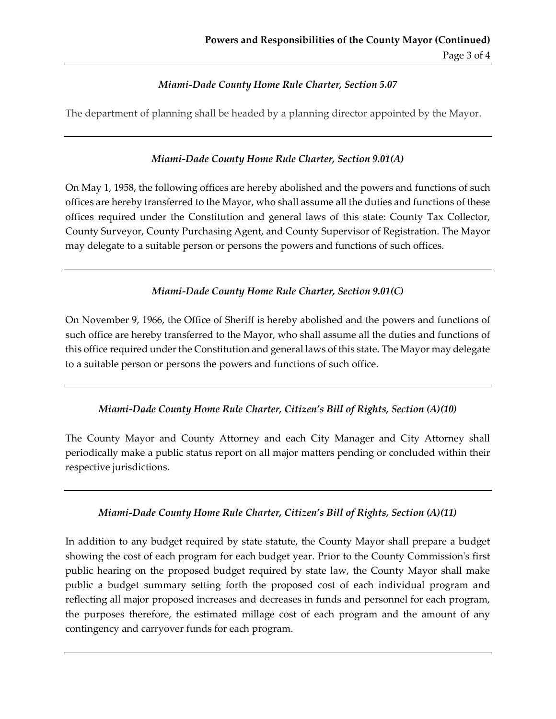## *Miami-Dade County Home Rule Charter, Section 5.07*

The department of planning shall be headed by a planning director appointed by the Mayor.

## *Miami-Dade County Home Rule Charter, Section 9.01(A)*

On May 1, 1958, the following offices are hereby abolished and the powers and functions of such offices are hereby transferred to the Mayor, who shall assume all the duties and functions of these offices required under the Constitution and general laws of this state: County Tax Collector, County Surveyor, County Purchasing Agent, and County Supervisor of Registration. The Mayor may delegate to a suitable person or persons the powers and functions of such offices.

## *Miami-Dade County Home Rule Charter, Section 9.01(C)*

On November 9, 1966, the Office of Sheriff is hereby abolished and the powers and functions of such office are hereby transferred to the Mayor, who shall assume all the duties and functions of this office required under the Constitution and general laws of this state. The Mayor may delegate to a suitable person or persons the powers and functions of such office.

### *Miami-Dade County Home Rule Charter, Citizen's Bill of Rights, Section (A)(10)*

The County Mayor and County Attorney and each City Manager and City Attorney shall periodically make a public status report on all major matters pending or concluded within their respective jurisdictions.

### *Miami-Dade County Home Rule Charter, Citizen's Bill of Rights, Section (A)(11)*

In addition to any budget required by state statute, the County Mayor shall prepare a budget showing the cost of each program for each budget year. Prior to the County Commission's first public hearing on the proposed budget required by state law, the County Mayor shall make public a budget summary setting forth the proposed cost of each individual program and reflecting all major proposed increases and decreases in funds and personnel for each program, the purposes therefore, the estimated millage cost of each program and the amount of any contingency and carryover funds for each program.